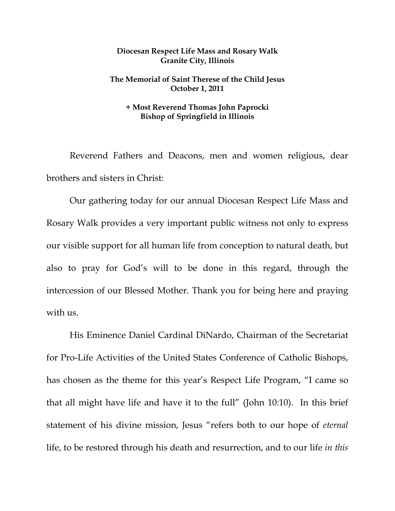## **Diocesan Respect Life Mass and Rosary Walk Granite City, Illinois**

## **The Memorial of Saint Therese of the Child Jesus October 1, 2011**

## **+ Most Reverend Thomas John Paprocki Bishop of Springfield in Illinois**

Reverend Fathers and Deacons, men and women religious, dear brothers and sisters in Christ:

 Our gathering today for our annual Diocesan Respect Life Mass and Rosary Walk provides a very important public witness not only to express our visible support for all human life from conception to natural death, but also to pray for God's will to be done in this regard, through the intercession of our Blessed Mother. Thank you for being here and praying with us.

His Eminence Daniel Cardinal DiNardo, Chairman of the Secretariat for Pro-Life Activities of the United States Conference of Catholic Bishops, has chosen as the theme for this year's Respect Life Program, "I came so that all might have life and have it to the full" (John 10:10). In this brief statement of his divine mission, Jesus "refers both to our hope of *eternal* life, to be restored through his death and resurrection, and to our life *in this*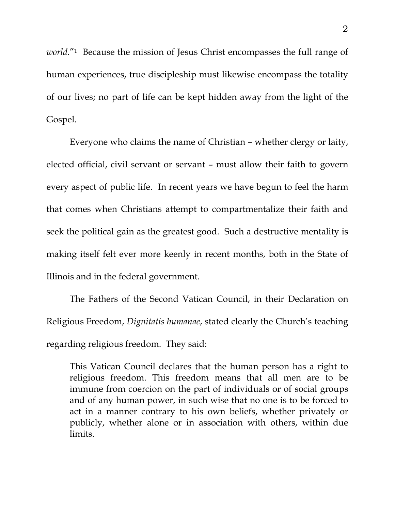*world*."1 Because the mission of Jesus Christ encompasses the full range of human experiences, true discipleship must likewise encompass the totality of our lives; no part of life can be kept hidden away from the light of the Gospel.

 Everyone who claims the name of Christian – whether clergy or laity, elected official, civil servant or servant – must allow their faith to govern every aspect of public life. In recent years we have begun to feel the harm that comes when Christians attempt to compartmentalize their faith and seek the political gain as the greatest good. Such a destructive mentality is making itself felt ever more keenly in recent months, both in the State of Illinois and in the federal government.

The Fathers of the Second Vatican Council, in their Declaration on Religious Freedom, *Dignitatis humanae*, stated clearly the Church's teaching regarding religious freedom. They said:

This Vatican Council declares that the human person has a right to religious freedom. This freedom means that all men are to be immune from coercion on the part of individuals or of social groups and of any human power, in such wise that no one is to be forced to act in a manner contrary to his own beliefs, whether privately or publicly, whether alone or in association with others, within due limits.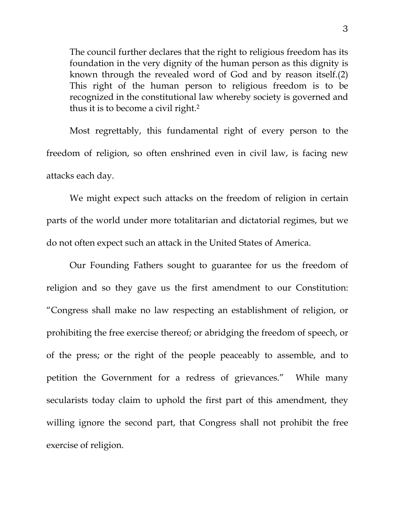The council further declares that the right to religious freedom has its foundation in the very dignity of the human person as this dignity is known through the revealed word of God and by reason itself.(2) This right of the human person to religious freedom is to be recognized in the constitutional law whereby society is governed and thus it is to become a civil right.2

Most regrettably, this fundamental right of every person to the freedom of religion, so often enshrined even in civil law, is facing new attacks each day.

 We might expect such attacks on the freedom of religion in certain parts of the world under more totalitarian and dictatorial regimes, but we do not often expect such an attack in the United States of America.

 Our Founding Fathers sought to guarantee for us the freedom of religion and so they gave us the first amendment to our Constitution: "Congress shall make no law respecting an establishment of religion, or prohibiting the free exercise thereof; or abridging the freedom of speech, or of the press; or the right of the people peaceably to assemble, and to petition the Government for a redress of grievances." While many secularists today claim to uphold the first part of this amendment, they willing ignore the second part, that Congress shall not prohibit the free exercise of religion.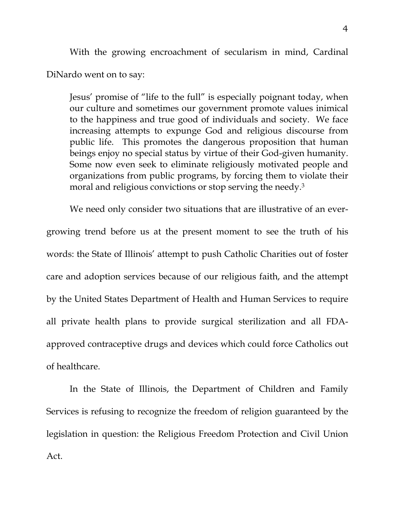With the growing encroachment of secularism in mind, Cardinal DiNardo went on to say:

Jesus' promise of "life to the full" is especially poignant today, when our culture and sometimes our government promote values inimical to the happiness and true good of individuals and society. We face increasing attempts to expunge God and religious discourse from public life. This promotes the dangerous proposition that human beings enjoy no special status by virtue of their God-given humanity. Some now even seek to eliminate religiously motivated people and organizations from public programs, by forcing them to violate their moral and religious convictions or stop serving the needy.<sup>3</sup>

We need only consider two situations that are illustrative of an evergrowing trend before us at the present moment to see the truth of his words: the State of Illinois' attempt to push Catholic Charities out of foster care and adoption services because of our religious faith, and the attempt by the United States Department of Health and Human Services to require all private health plans to provide surgical sterilization and all FDAapproved contraceptive drugs and devices which could force Catholics out of healthcare.

 In the State of Illinois, the Department of Children and Family Services is refusing to recognize the freedom of religion guaranteed by the legislation in question: the Religious Freedom Protection and Civil Union Act.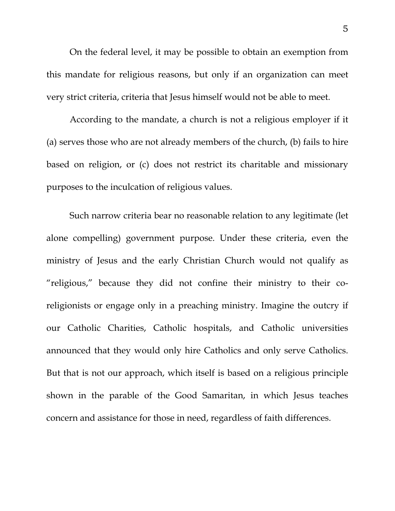On the federal level, it may be possible to obtain an exemption from this mandate for religious reasons, but only if an organization can meet very strict criteria, criteria that Jesus himself would not be able to meet.

According to the mandate, a church is not a religious employer if it (a) serves those who are not already members of the church, (b) fails to hire based on religion, or (c) does not restrict its charitable and missionary purposes to the inculcation of religious values.

Such narrow criteria bear no reasonable relation to any legitimate (let alone compelling) government purpose. Under these criteria, even the ministry of Jesus and the early Christian Church would not qualify as "religious," because they did not confine their ministry to their coreligionists or engage only in a preaching ministry. Imagine the outcry if our Catholic Charities, Catholic hospitals, and Catholic universities announced that they would only hire Catholics and only serve Catholics. But that is not our approach, which itself is based on a religious principle shown in the parable of the Good Samaritan, in which Jesus teaches concern and assistance for those in need, regardless of faith differences.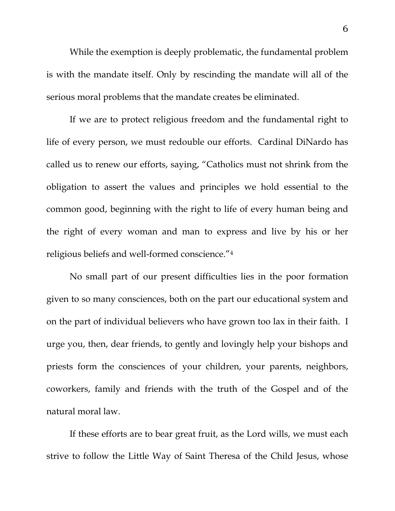While the exemption is deeply problematic, the fundamental problem is with the mandate itself. Only by rescinding the mandate will all of the serious moral problems that the mandate creates be eliminated.

 If we are to protect religious freedom and the fundamental right to life of every person, we must redouble our efforts. Cardinal DiNardo has called us to renew our efforts, saying, "Catholics must not shrink from the obligation to assert the values and principles we hold essential to the common good, beginning with the right to life of every human being and the right of every woman and man to express and live by his or her religious beliefs and well-formed conscience."4

 No small part of our present difficulties lies in the poor formation given to so many consciences, both on the part our educational system and on the part of individual believers who have grown too lax in their faith. I urge you, then, dear friends, to gently and lovingly help your bishops and priests form the consciences of your children, your parents, neighbors, coworkers, family and friends with the truth of the Gospel and of the natural moral law.

 If these efforts are to bear great fruit, as the Lord wills, we must each strive to follow the Little Way of Saint Theresa of the Child Jesus, whose